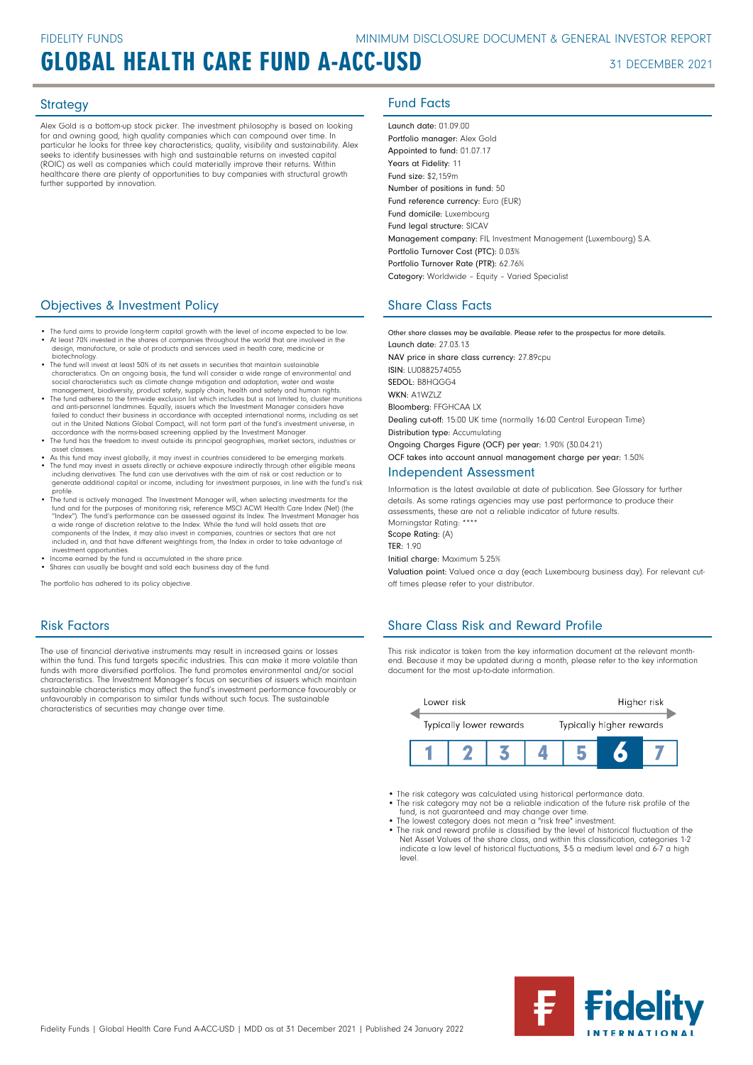Alex Gold is a bottom-up stock picker. The investment philosophy is based on looking for and owning good, high quality companies which can compound over time. In particular he looks for three key characteristics; quality, visibility and sustainability. Alex seeks to identify businesses with high and sustainable returns on invested capital (ROIC) as well as companies which could materially improve their returns. Within healthcare there are plenty of opportunities to buy companies with structural growth further supported by innovation.

#### **Objectives & Investment Policy Share Class Facts** Share Class Facts

- The fund aims to provide long-term capital growth with the level of income expected to be low.<br>At least 70% invested in the shares of companies throughout the world that are involved in the • At least 70% invested in the shares of companies throughout the world that are involved in the design, manufacture, or sale of products and services used in health care, medicine or
- biotechnology.<br>
 The fund will invest at least 50% of its net assets in securities that maintain sustainable<br>
characteristics. On an ongoing basis, the fund will consider a wide range of environmental and<br>
social characte
- The fund adheres to the firm-wide exclusion list which includes but is not limited to, cluster munitions and anti-personnel landmines. Equally, issuers which the Investment Manager considers have failed to conduct their business in accordance with accepted international norms, including as set
- out in the United Nations Global Compact, will not form part of the fund's investment universe, in<br>accordance with the norms-based screening applied by the Investment Manager.<br>• The fund has the freedom to invest outside asset classes.
- As this fund may invest globally, it may invest in countries considered to be emerging markets. The fund may invest in assets directly or achieve exposure indirectly through other eligible means including derivatives. The fund can use derivatives with the aim of risk or cost reduction or to generate additional capital or income, including for investment purposes, in line with the fund's risk
- profile. The fund is actively managed. The Investment Manager will, when selecting investments for the fund and for the purposes of monitoring risk, reference MSCI ACWI Health Care Index (Net) (the "Index"). The fund's performance can be assessed against its Index. The Investment Manager has<br>a wide range of discretion relative to the Index. While the fund will hold assets that are<br>components of the Index, it may also included in, and that have different weightings from, the Index in order to take advantage of investment opportunities.
- Income earned by the fund is accumulated in the share price • Shares can usually be bought and sold each business day of the fund.

The portfolio has adhered to its policy objective.

#### Risk Factors

The use of financial derivative instruments may result in increased gains or losses within the fund. This fund targets specific industries. This can make it more volatile than funds with more diversified portfolios. The fund promotes environmental and/or social characteristics. The Investment Manager's focus on securities of issuers which maintain sustainable characteristics may affect the fund's investment performance favourably or unfavourably in comparison to similar funds without such focus. The sustainable characteristics of securities may change over time.

### Strategy **Fund Facts**

Launch date: 01.09.00 Portfolio manager: Alex Gold Appointed to fund: 01.07.17 Years at Fidelity: 11 Fund size: \$2,159m Number of positions in fund: 50 Fund reference currency: Euro (EUR) Fund domicile: Luxembourg Fund legal structure: SICAV Management company: FIL Investment Management (Luxembourg) S.A. Portfolio Turnover Cost (PTC): 0.03% Portfolio Turnover Rate (PTR): 62.76% Category: Worldwide – Equity – Varied Specialist

Other share classes may be available. Please refer to the prospectus for more details. Launch date: 27.03.13 NAV price in share class currency: 27.89cpu ISIN: LU0882574055 SEDOL: B8HQGG4 WKN· A1W7LZ Bloomberg: FFGHCAA LX Dealing cut-off: 15:00 UK time (normally 16:00 Central European Time) Distribution type: Accumulating Ongoing Charges Figure (OCF) per year: 1.90% (30.04.21) OCF takes into account annual management charge per year: 1.50% Independent Assessment

Information is the latest available at date of publication. See Glossary for further details. As some ratings agencies may use past performance to produce their assessments, these are not a reliable indicator of future results. Morningstar Rating: \*\*\*\* Scope Rating: (A)

TER: 1.90

Initial charge: Maximum 5.25%

Valuation point: Valued once a day (each Luxembourg business day). For relevant cutoff times please refer to your distributor.

#### Share Class Risk and Reward Profile

This risk indicator is taken from the key information document at the relevant monthend. Because it may be updated during a month, please refer to the key information document for the most up-to-date information.



- The risk category was calculated using historical performance data.
- The risk category may not be a reliable indication of the future risk profile of the fund, is not guaranteed and may change over time. The lowest category does not mean a "risk free" investment.
- 
- The risk and reward profile is classified by the level of historical fluctuation of the Net Asset Values of the share class, and within this classification, categories 1-2 indicate a low level of historical fluctuations, 3-5 a medium level and 6-7 a high level.

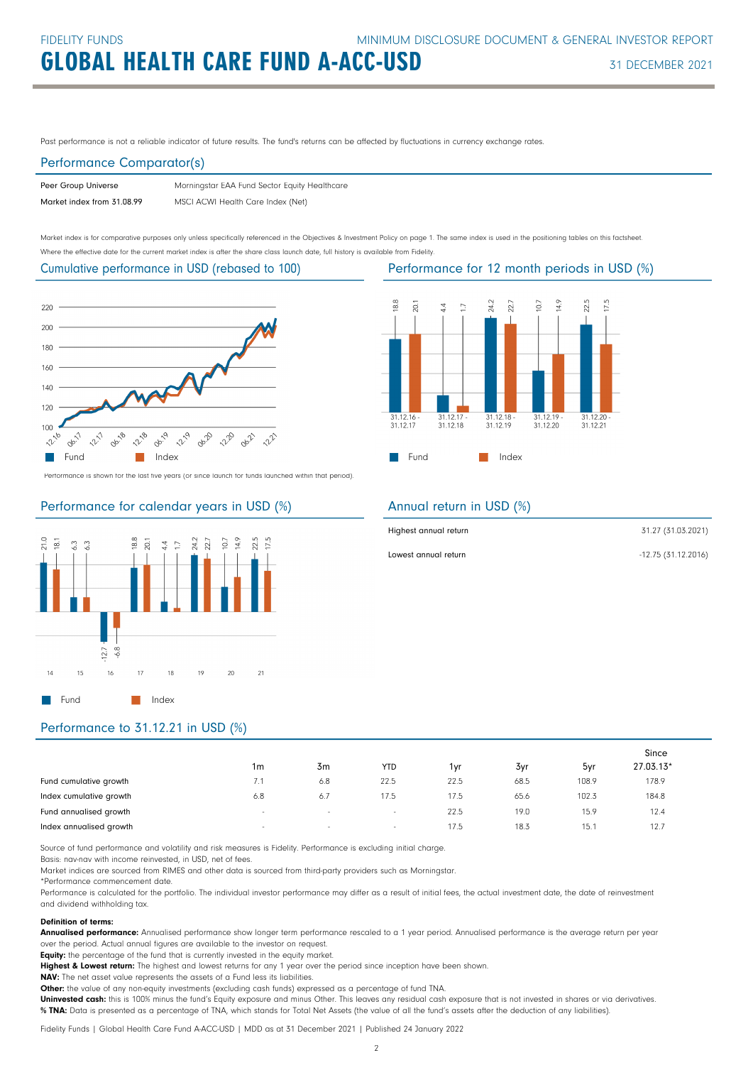Past performance is not a reliable indicator of future results. The fund's returns can be affected by fluctuations in currency exchange rates.

#### Performance Comparator(s)

| Peer Group Universe        | Morningstar EAA Fund Sector Equity Healthcare |
|----------------------------|-----------------------------------------------|
| Market index from 31.08.99 | MSCI ACWI Health Care Index (Net)             |

Market index is for comparative purposes only unless specifically referenced in the Objectives & Investment Policy on page 1. The same index is used in the positioning tables on this factsheet. Where the effective date for the current market index is after the share class launch date, full history is available from Fidelity.

Cumulative performance in USD (rebased to 100)



Performance is shown for the last five years (or since launch for funds launched within that period).

#### Performance for calendar years in USD (%)



Performance for 12 month periods in USD (%)



### Annual return in USD (%)

| Highest annual return | 31.27 (31.03.2021)   |
|-----------------------|----------------------|
| Lowest annual return  | $-12.75(31.12.2016)$ |

### Performance to 31.12.21 in USD (%)

|                         |                          |        |            |      |      |       | Since     |
|-------------------------|--------------------------|--------|------------|------|------|-------|-----------|
|                         | 1m                       | 3m     | <b>YTD</b> | 1vr  | 3yr  | 5yr   | 27.03.13* |
| Fund cumulative growth  |                          | 6.8    | 22.5       | 22.5 | 68.5 | 108.9 | 178.9     |
| Index cumulative growth | 6.8                      | 6.7    | 17.5       | 17.5 | 65.6 | 102.3 | 184.8     |
| Fund annualised growth  | $\overline{\phantom{a}}$ | $\sim$ | $\sim$     | 22.5 | 19.0 | 15.9  | 12.4      |
| Index annualised growth | ٠                        | $\sim$ | $\sim$     | 17.5 | 18.3 | 15.   | 12.7      |

Source of fund performance and volatility and risk measures is Fidelity. Performance is excluding initial charge.

Basis: nav-nav with income reinvested, in USD, net of fees.

Market indices are sourced from RIMES and other data is sourced from third-party providers such as Morningstar.

\*Performance commencement date.

Performance is calculated for the portfolio. The individual investor performance may differ as a result of initial fees, the actual investment date, the date of reinvestment and dividend withholding tax.

#### Definition of terms:

Annualised performance: Annualised performance show longer term performance rescaled to a 1 year period. Annualised performance is the average return per year over the period. Actual annual figures are available to the investor on request.

Equity: the percentage of the fund that is currently invested in the equity market.

Highest & Lowest return: The highest and lowest returns for any 1 year over the period since inception have been shown.

NAV: The net asset value represents the assets of a Fund less its liabilities.

Other: the value of any non-equity investments (excluding cash funds) expressed as a percentage of fund TNA.

Uninvested cash: this is 100% minus the fund's Equity exposure and minus Other. This leaves any residual cash exposure that is not invested in shares or via derivatives. % TNA: Data is presented as a percentage of TNA, which stands for Total Net Assets (the value of all the fund's assets after the deduction of any liabilities).

Fidelity Funds | Global Health Care Fund A-ACC-USD | MDD as at 31 December 2021 | Published 24 January 2022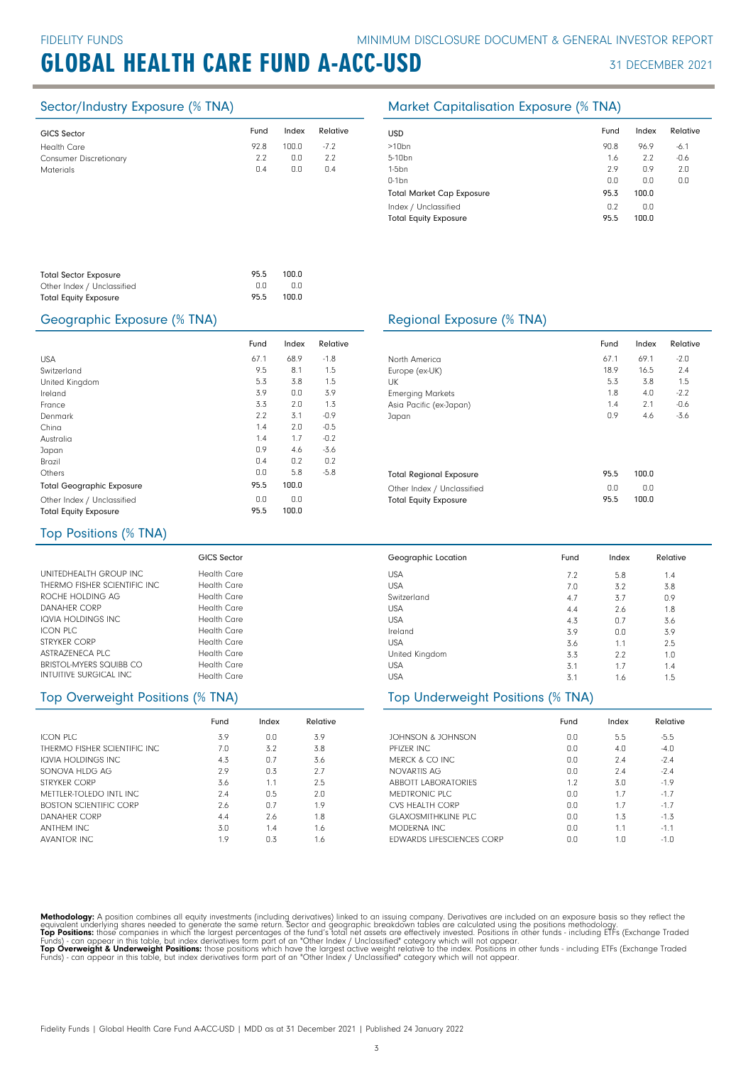| <b>GICS Sector</b>            | Fund | Index | Relative | <b>USD</b> |
|-------------------------------|------|-------|----------|------------|
| <b>Health Care</b>            | 92.8 | 100.0 | $-7.2$   | >10        |
| <b>Consumer Discretionary</b> | 2.2  | 0.0   | 2.2      | $5 - 10$   |
| <b>Materials</b>              | 0.4  | 0.0   | 0.4      | $1-5b$     |
|                               |      |       |          | $0-1b$     |

### Sector/Industry Exposure (% TNA) Market Capitalisation Exposure (% TNA)

| <b>USD</b>                                           | Fund        | Index        | Relative |
|------------------------------------------------------|-------------|--------------|----------|
| $>10$ bn                                             | 90.8        | 96.9         | $-6.1$   |
| 5-10 <sub>bn</sub>                                   | 1.6         | 2.2          | $-0.6$   |
| $1-5$ bn                                             | 2.9         | 0.9          | 2.0      |
| $0-1$ bn                                             | 0.0         | 0.0          | 0.0      |
| <b>Total Market Cap Exposure</b>                     | 95.3        | 100.0        |          |
| Index / Unclassified<br><b>Total Equity Exposure</b> | 0.2<br>95.5 | 0.0<br>100.0 |          |

| Total Sector Exposure      | 95.5 | 100.0 |  |
|----------------------------|------|-------|--|
| Other Index / Unclassified | n n  | n n   |  |
| Total Equity Exposure      | 95.5 | 100.0 |  |

#### Geographic Exposure (% TNA) Regional Exposure (% TNA)

|                                  | Fund | Index | Relative |
|----------------------------------|------|-------|----------|
| <b>USA</b>                       | 67.1 | 68.9  | $-1.8$   |
| Switzerland                      | 9.5  | 8.1   | 1.5      |
| United Kingdom                   | 5.3  | 3.8   | 1.5      |
| Ireland                          | 3.9  | 0.0   | 3.9      |
| France                           | 3.3  | 2.0   | 1.3      |
| Denmark                          | 2.2  | 3.1   | $-0.9$   |
| China                            | 1.4  | 2.0   | $-0.5$   |
| Australia                        | 1.4  | 1.7   | $-0.2$   |
| Japan                            | 0.9  | 4.6   | $-3.6$   |
| Brazil                           | 0.4  | 0.2   | 0.2      |
| Others                           | 0.0  | 5.8   | $-5.8$   |
| <b>Total Geographic Exposure</b> | 95.5 | 100.0 |          |
| Other Index / Unclassified       | 0.0  | 0.0   |          |
| <b>Total Equity Exposure</b>     | 95.5 | 100.0 |          |

|                                                            | Fund        | Index        | Relative |
|------------------------------------------------------------|-------------|--------------|----------|
| North America                                              | 67.1        | 69.1         | $-2.0$   |
| Europe (ex-UK)                                             | 18.9        | 16.5         | 7.4      |
| UK                                                         | 5.3         | 3.8          | 1.5      |
| <b>Emerging Markets</b>                                    | 1.8         | 4.0          | $-2.2$   |
| Asia Pacific (ex-Japan)                                    | 1.4         | 2.1          | $-0.6$   |
| Japan                                                      | 0.9         | 4.6          | $-3.6$   |
|                                                            |             |              |          |
| <b>Total Regional Exposure</b>                             | 95.5        | 100.0        |          |
| Other Index / Unclassified<br><b>Total Equity Exposure</b> | 0.0<br>95.5 | 0.0<br>100.0 |          |

### Top Positions (% TNA)

|                               | <b>GICS Sector</b> | Geographic Location | Fund | Index | Relative |
|-------------------------------|--------------------|---------------------|------|-------|----------|
| UNITEDHEALTH GROUP INC.       | Health Care        | <b>USA</b>          | 7.2  | 5.8   | 1.4      |
| THERMO FISHER SCIENTIFIC INC. | <b>Health Care</b> | <b>USA</b>          | 7.0  | 3.2   | 3.8      |
| ROCHE HOLDING AG              | Health Care        | Switzerland         | 4.7  | 3.7   | 0.9      |
| DANAHER CORP                  | Health Care        | <b>USA</b>          | 4.4  | 2.6   | 1.8      |
| IQVIA HOLDINGS INC.           | Health Care        | <b>USA</b>          | 4.3  | 0.7   | 3.6      |
| <b>ICON PLC</b>               | <b>Health Care</b> | Ireland             | 3.9  | 0.0   | 3.9      |
| STRYKER CORP                  | <b>Health Care</b> | <b>USA</b>          | 3.6  | 1.1   | 2.5      |
| ASTRAZENECA PLC               | <b>Health Care</b> | United Kingdom      | 3.3  | 2.2   | 1.0      |
| BRISTOL-MYERS SQUIBB CO       | Health Care        | <b>USA</b>          | 3.1  | 1.7   | 1.4      |
| INTUITIVE SURGICAL INC.       | <b>Health Care</b> | <b>USA</b>          | 3.1  | 1.6   | 1.5      |

### Top Overweight Positions (% TNA)

|                               | Fund | Index | Relative |
|-------------------------------|------|-------|----------|
| ICON PLC                      | 3.9  | 0.0   | 3.9      |
| THERMO FISHER SCIENTIFIC INC. | 7.0  | 3.2   | 3.8      |
| IQVIA HOLDINGS INC.           | 4.3  | 0.7   | 3.6      |
| SONOVA HLDG AG                | 2.9  | 0.3   | 2.7      |
| <b>STRYKER CORP</b>           | 3.6  | 1.1   | 2.5      |
| METTLER-TOLEDO INTL INC.      | 7.4  | 0.5   | 2.0      |
| BOSTON SCIENTIFIC CORP        | 2.6  | 0.7   | 1.9      |
| DANAHER CORP                  | 4.4  | 2.6   | 1.8      |
| <b>ANTHEM INC</b>             | 3.0  | 1.4   | 1.6      |
| <b>AVANTOR INC.</b>           | 1.9  | 0.3   | 1.6      |

| <b>USA</b>                        | 7.2 | 5.8 | 1.4 |  |
|-----------------------------------|-----|-----|-----|--|
| <b>USA</b>                        | 7.0 | 3.2 | 3.8 |  |
| Switzerland                       | 4.7 | 3.7 | 0.9 |  |
| <b>USA</b>                        | 4.4 | 2.6 | 1.8 |  |
| <b>USA</b>                        | 4.3 | 0.7 | 3.6 |  |
| Ireland                           | 3.9 | 0.0 | 3.9 |  |
| <b>USA</b>                        | 3.6 | 1.1 | 2.5 |  |
| United Kingdom                    | 3.3 | 2.2 | 1.0 |  |
| <b>USA</b>                        | 3.1 | 1.7 | 1.4 |  |
| <b>USA</b>                        | 3.1 | 1.6 | 1.5 |  |
| Top Underweight Positions (% TNA) |     |     |     |  |

|                                  | Fund | Index | Relative |
|----------------------------------|------|-------|----------|
| JOHNSON & JOHNSON                | 0.0  | 5.5   | $-5.5$   |
| PFIZER INC.                      | 0.0  | 4.0   | $-4.0$   |
| MERCK & CO INC.                  | 0.0  | 7.4   | $-2.4$   |
| NOVARTIS AG                      | 0.0  | 7.4   | $-2.4$   |
| <b>ABBOTT LABORATORIES</b>       | 1.2  | 3.0   | $-1.9$   |
| MEDTRONIC PLC                    | 0.0  | 1.7   | $-1.7$   |
| CVS HEALTH CORP                  | 0.0  | 1.7   | $-1.7$   |
| <b>GLAXOSMITHKLINF PLC</b>       | 0.0  | 1.3   | $-1.3$   |
| MODERNA INC                      | 0.0  | 1.1   | $-1.1$   |
| <b>FDWARDS LIFFSCIENCES CORP</b> | 0.0  | 1.0   | $-1.0$   |

Methodology: A position combines all equity investments (including derivatives) linked to an issuing company. Derivatives are included on an exposure basis so they reflect the<br>equivalent underlying shares needed to generat